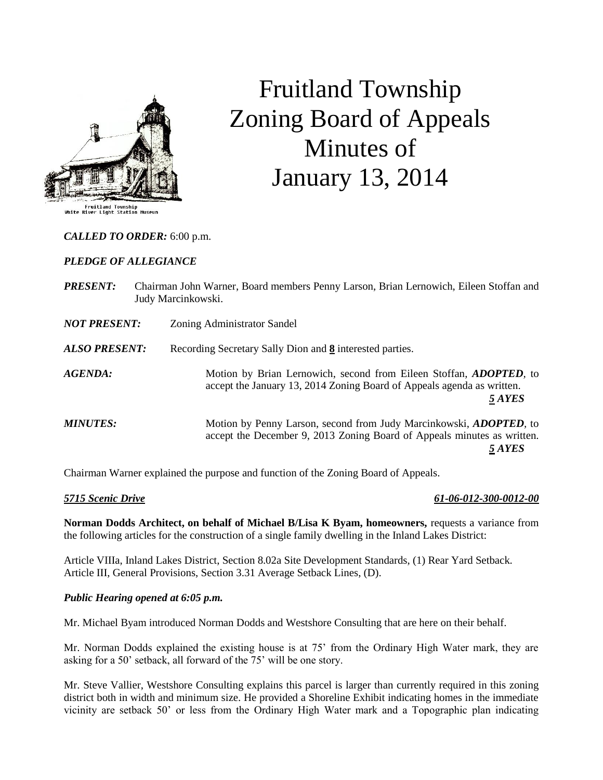

# Fruitland Township Zoning Board of Appeals Minutes of January 13, 2014

*CALLED TO ORDER:* 6:00 p.m.

# *PLEDGE OF ALLEGIANCE*

| <b>PRESENT:</b>      | Chairman John Warner, Board members Penny Larson, Brian Lernowich, Eileen Stoffan and<br>Judy Marcinkowski.                                                     |
|----------------------|-----------------------------------------------------------------------------------------------------------------------------------------------------------------|
| <b>NOT PRESENT:</b>  | Zoning Administrator Sandel                                                                                                                                     |
| <b>ALSO PRESENT:</b> | Recording Secretary Sally Dion and 8 interested parties.                                                                                                        |
| AGENDA:              | Motion by Brian Lernowich, second from Eileen Stoffan, <i>ADOPTED</i> , to<br>accept the January 13, 2014 Zoning Board of Appeals agenda as written.<br>5 AYES  |
| <b>MINUTES:</b>      | Motion by Penny Larson, second from Judy Marcinkowski, <i>ADOPTED</i> , to<br>accept the December 9, 2013 Zoning Board of Appeals minutes as written.<br>5 AYES |

Chairman Warner explained the purpose and function of the Zoning Board of Appeals.

# *5715 Scenic Drive 61-06-012-300-0012-00*

**Norman Dodds Architect, on behalf of Michael B/Lisa K Byam, homeowners,** requests a variance from the following articles for the construction of a single family dwelling in the Inland Lakes District:

Article VIIIa, Inland Lakes District, Section 8.02a Site Development Standards, (1) Rear Yard Setback. Article III, General Provisions, Section 3.31 Average Setback Lines, (D).

#### *Public Hearing opened at 6:05 p.m.*

Mr. Michael Byam introduced Norman Dodds and Westshore Consulting that are here on their behalf.

Mr. Norman Dodds explained the existing house is at 75' from the Ordinary High Water mark, they are asking for a 50' setback, all forward of the 75' will be one story.

Mr. Steve Vallier, Westshore Consulting explains this parcel is larger than currently required in this zoning district both in width and minimum size. He provided a Shoreline Exhibit indicating homes in the immediate vicinity are setback 50' or less from the Ordinary High Water mark and a Topographic plan indicating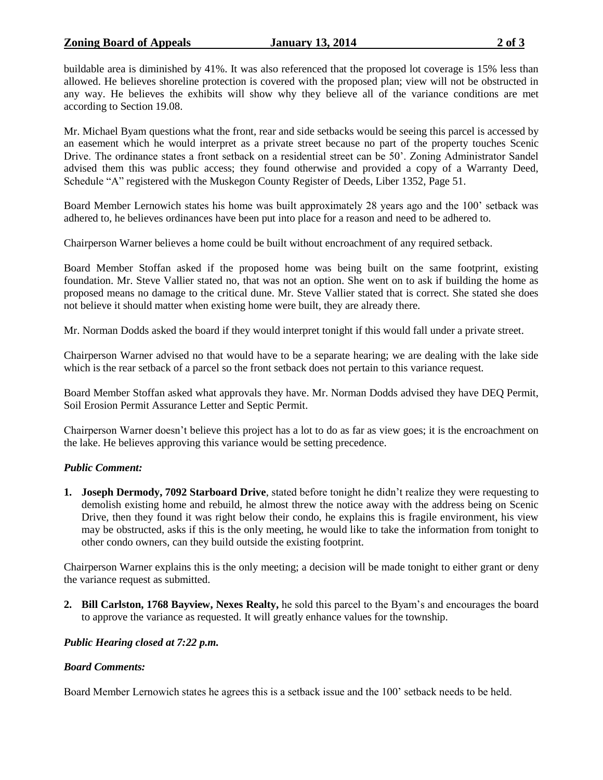# **Zoning Board of Appeals January 13, 2014 2 of 3**

buildable area is diminished by 41%. It was also referenced that the proposed lot coverage is 15% less than allowed. He believes shoreline protection is covered with the proposed plan; view will not be obstructed in any way. He believes the exhibits will show why they believe all of the variance conditions are met according to Section 19.08.

Mr. Michael Byam questions what the front, rear and side setbacks would be seeing this parcel is accessed by an easement which he would interpret as a private street because no part of the property touches Scenic Drive. The ordinance states a front setback on a residential street can be 50'. Zoning Administrator Sandel advised them this was public access; they found otherwise and provided a copy of a Warranty Deed, Schedule "A" registered with the Muskegon County Register of Deeds, Liber 1352, Page 51.

Board Member Lernowich states his home was built approximately 28 years ago and the 100' setback was adhered to, he believes ordinances have been put into place for a reason and need to be adhered to.

Chairperson Warner believes a home could be built without encroachment of any required setback.

Board Member Stoffan asked if the proposed home was being built on the same footprint, existing foundation. Mr. Steve Vallier stated no, that was not an option. She went on to ask if building the home as proposed means no damage to the critical dune. Mr. Steve Vallier stated that is correct. She stated she does not believe it should matter when existing home were built, they are already there.

Mr. Norman Dodds asked the board if they would interpret tonight if this would fall under a private street.

Chairperson Warner advised no that would have to be a separate hearing; we are dealing with the lake side which is the rear setback of a parcel so the front setback does not pertain to this variance request.

Board Member Stoffan asked what approvals they have. Mr. Norman Dodds advised they have DEQ Permit, Soil Erosion Permit Assurance Letter and Septic Permit.

Chairperson Warner doesn't believe this project has a lot to do as far as view goes; it is the encroachment on the lake. He believes approving this variance would be setting precedence.

# *Public Comment:*

**1. Joseph Dermody, 7092 Starboard Drive**, stated before tonight he didn't realize they were requesting to demolish existing home and rebuild, he almost threw the notice away with the address being on Scenic Drive, then they found it was right below their condo, he explains this is fragile environment, his view may be obstructed, asks if this is the only meeting, he would like to take the information from tonight to other condo owners, can they build outside the existing footprint.

Chairperson Warner explains this is the only meeting; a decision will be made tonight to either grant or deny the variance request as submitted.

**2. Bill Carlston, 1768 Bayview, Nexes Realty,** he sold this parcel to the Byam's and encourages the board to approve the variance as requested. It will greatly enhance values for the township.

# *Public Hearing closed at 7:22 p.m.*

# *Board Comments:*

Board Member Lernowich states he agrees this is a setback issue and the 100' setback needs to be held.